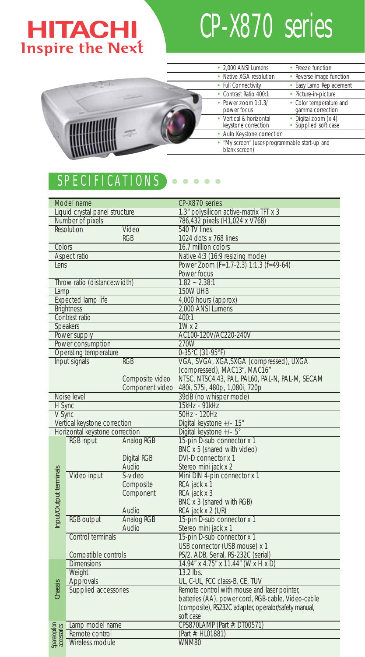## **HITACHI Inspire the Next**

# CP-X870 series



#### SPECIFICATIONS  $\begin{array}{cccccccccccccc} \bullet & \bullet & \bullet & \bullet & \bullet & \bullet & \bullet \end{array}$

|                            | Model name                               |                 | CP-X870 series                                       |  |
|----------------------------|------------------------------------------|-----------------|------------------------------------------------------|--|
|                            | Liquid crystal panel structure           |                 | 1.3" polysilicon active-matrix TFT x 3               |  |
|                            | Number of pixels                         |                 | 786,432 pixels (H1,024 x V768)                       |  |
|                            | Resolution                               | Video           | 540 TV lines                                         |  |
|                            |                                          | <b>RGB</b>      | 1024 dots x 768 lines                                |  |
| Colors                     |                                          |                 | 16.7 million colors                                  |  |
|                            | Aspect ratio                             |                 | Native 4:3 (16:9 resizing mode)                      |  |
| lens                       |                                          |                 | Power Zoom (F=1.7-2.3) 1:1.3 (f=49-64)               |  |
|                            |                                          |                 | Power focus                                          |  |
|                            | Throw ratio (distance:width)             |                 | $1.82 - 2.38:1$                                      |  |
| Lamp                       |                                          |                 | 150W UHB                                             |  |
| Expected lamp life         |                                          |                 | 4,000 hours (approx)                                 |  |
| <b>Brightness</b>          |                                          |                 | 2,000 ANSI Lumens                                    |  |
| Contrast ratio             |                                          |                 | 400:1                                                |  |
| Speakers                   |                                          |                 | $1W \times 2$                                        |  |
|                            | Power supply                             |                 | AC100-120V/AC220-240V                                |  |
|                            | Power consumption                        |                 | 270W                                                 |  |
|                            | Operating temperature                    |                 | $0-35^{\circ}$ C (31-95°F)                           |  |
|                            | Input signals                            | <b>RGB</b>      | VGA, SVGA, XGA, SXGA (compressed), UXGA              |  |
|                            |                                          |                 | (compressed), MAC13*, MAC16*                         |  |
|                            |                                          | Composite video | NTSC, NTSC4.43, PAL, PAL60, PAL-N, PAL-M, SECAM      |  |
|                            |                                          | Component video | 480i, 575i, 480p, 1,080i, 720p                       |  |
|                            | Noise level                              |                 | 39dB (no whisper mode)                               |  |
| H Sync                     |                                          |                 | 15kHz - 91kHz                                        |  |
| V Sync                     |                                          |                 | 50Hz - 120Hz                                         |  |
|                            | Vertical keystone correction             |                 | Digital keystone +/- 15°                             |  |
|                            | Horizontal keystone correction           |                 | Digital keystone +/- 5°                              |  |
|                            | <b>RGB</b> input                         | Analog RGB      | 15-pin D-sub connector x 1                           |  |
|                            |                                          |                 | BNC x 5 (shared with video)                          |  |
|                            |                                          | Digital RGB     | DVI-D connector x 1                                  |  |
|                            |                                          | Audio           | Stereo mini jack x 2                                 |  |
| nput/Output terminals      | Video input                              | S-video         | Mini DIN 4-pin connector x 1                         |  |
|                            |                                          | Composite       | RCA jack x 1                                         |  |
|                            |                                          | Component       | RCA jack x 3                                         |  |
|                            |                                          |                 | BNC x 3 (shared with RGB)                            |  |
|                            |                                          | Audio           | RCA jack x 2 (L/R)                                   |  |
|                            | <b>RGB</b> output                        | Analog RGB      | 15-pin D-sub connector x 1                           |  |
|                            |                                          | Audio           | Stereo mini jack x 1                                 |  |
|                            | Control terminals                        |                 | 15-pin D-sub connector x 1                           |  |
|                            |                                          |                 | USB connector (USB mouse) x 1                        |  |
|                            | Compatible controls<br><b>Dimensions</b> |                 | PS/2, ADB, Serial, RS-232C (serial)                  |  |
|                            |                                          |                 | 14.94" x 4.75" x 11.44" (W x H x D)                  |  |
|                            | Weight                                   |                 | 13.2 lbs.<br>UL, C-UL, FCC class-B, CE, TUV          |  |
| Chassis                    | Approvals<br>Supplied accessories        |                 | Remote control with mouse and laser pointer,         |  |
|                            |                                          |                 | batteries (AA), power cord, RGB-cable, Video-cable   |  |
|                            |                                          |                 | (composite), RS232C adapter, operator/safety manual, |  |
|                            |                                          |                 | soft case                                            |  |
|                            | Lamp model name                          |                 | CPS870LAMP (Part #: DT00571)                         |  |
| Spaeloption<br>accessories | Remote control                           |                 | (Part #: HL01881)                                    |  |
|                            | Wireless module                          |                 | WNM80                                                |  |
|                            |                                          |                 |                                                      |  |